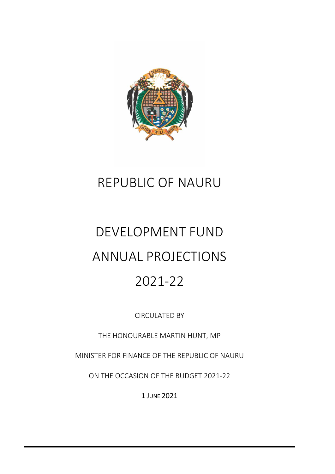

# REPUBLIC OF NAURU

# DEVELOPMENT FUND ANNUAL PROJECTIONS 2021-22

CIRCULATED BY

THE HONOURABLE MARTIN HUNT, MP

MINISTER FOR FINANCE OF THE REPUBLIC OF NAURU

ON THE OCCASION OF THE BUDGET 2021-22

1 JUNE 2021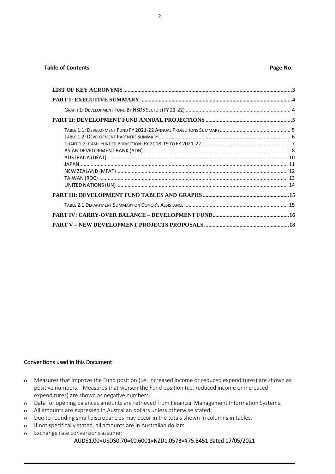#### **Table of Contents Page No. Page No. Page No. Page No. Page No. Page No.**

#### Conventions used in this Document:

- o Measures that improve the Fund position (i.e. increased income or reduced expenditures) are shown as positive numbers. Measures that worsen the Fund position (i.e. reduced income or increased expenditures) are shown as negative numbers.
- o Data for opening balances amounts are retrieved from Financial Management Information Systems.
- o All amounts are expressed in Australian dollars unless otherwise stated.
- o Due to rounding small discrepancies may occur in the totals shown in columns in tables.
- o If not specifically stated, all amounts are in Australian dollars
- o Exchange rate conversions assume;

#### AUD\$1.00=USD\$0.70=€0.6001=NZD1.0573=¥75.8451 dated 17/05/2021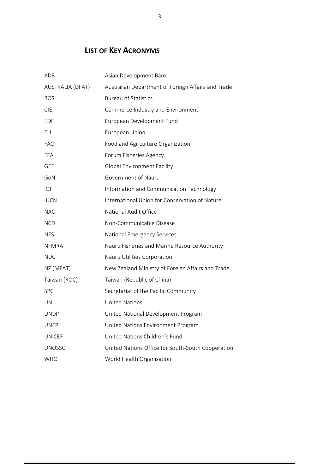# **LIST OF KEY ACRONYMS**

<span id="page-2-0"></span>

| ADB              | Asian Development Bank                             |
|------------------|----------------------------------------------------|
| AUSTRALIA (DFAT) | Australian Department of Foreign Affairs and Trade |
| <b>BOS</b>       | <b>Bureau of Statistics</b>                        |
| <b>CIE</b>       | Commerce Industry and Environment                  |
| <b>EDF</b>       | European Development Fund                          |
| EU               | European Union                                     |
| <b>FAO</b>       | Food and Agriculture Organization                  |
| <b>FFA</b>       | Forum Fisheries Agency                             |
| <b>GEF</b>       | <b>Global Environment Facility</b>                 |
| GoN              | Government of Nauru                                |
| ICT              | Information and Communication Technology           |
| <b>IUCN</b>      | International Union for Conservation of Nature     |
| <b>NAO</b>       | National Audit Office                              |
| <b>NCD</b>       | Non-Communicable Disease                           |
| <b>NES</b>       | National Emergency Services                        |
| <b>NFMRA</b>     | Nauru Fisheries and Marine Resource Authority      |
| <b>NUC</b>       | Nauru Utilities Corporation                        |
| NZ (MFAT)        | New Zealand Ministry of Foreign Affairs and Trade  |
| Taiwan (ROC)     | Taiwan (Republic of China)                         |
| <b>SPC</b>       | Secretariat of the Pacific Community               |
| UN               | <b>United Nations</b>                              |
| <b>UNDP</b>      | United National Development Program                |
| UNEP             | United Nations Environment Program                 |
| <b>UNICEF</b>    | United Nations Children's Fund                     |
| <b>UNOSSC</b>    | United Nations Office for South-South Cooperation  |
| <b>WHO</b>       | World Health Organisation                          |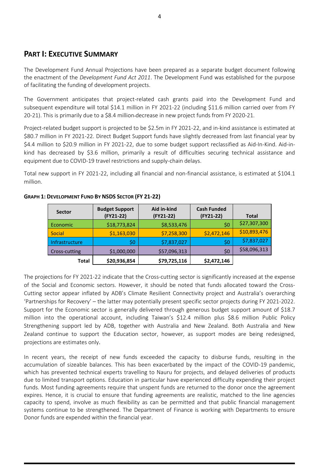## <span id="page-3-0"></span>**PART I: EXECUTIVE SUMMARY**

The Development Fund Annual Projections have been prepared as a separate budget document following the enactment of the *Development Fund Act 2011*. The Development Fund was established for the purpose of facilitating the funding of development projects.

The Government anticipates that project-related cash grants paid into the Development Fund and subsequent expenditure will total \$14.1 million in FY 2021-22 (including \$11.6 million carried over from FY 20-21). This is primarily due to a \$8.4 million decrease in new project funds from FY 2020-21.

Project-related budget support is projected to be \$2.5m in FY 2021-22, and in-kind assistance is estimated at \$80.7 million in FY 2021-22. Direct Budget Support funds have slightly decreased from last financial year by \$4.4 million to \$20.9 million in FY 2021-22, due to some budget support reclassified as Aid-In-Kind. Aid-inkind has decreased by \$3.6 million, primarily a result of difficulties securing technical assistance and equipment due to COVID-19 travel restrictions and supply-chain delays.

Total new support in FY 2021-22, including all financial and non-financial assistance, is estimated at \$104.1 million.

| <b>Sector</b>  | <b>Budget Support</b><br>(FY21-22) | Aid in-kind<br>(FY21-22) | <b>Cash Funded</b><br>(FY21-22) | <b>Total</b> |
|----------------|------------------------------------|--------------------------|---------------------------------|--------------|
| Economic       | \$18,773,824                       | \$8,533,476              | \$0                             | \$27,307,300 |
| Social         | \$1,163,030                        | \$7,258,300              | \$2,472,146                     | \$10,893,476 |
| Infrastructure | \$0                                | \$7,837,027              | \$0                             | \$7,837,027  |
| Cross-cutting  | \$1,000,000                        | \$57,096,313             | \$0                             | \$58,096,313 |
| Total          | \$20,936,854                       | \$79,725,116             | \$2,472,146                     |              |

#### <span id="page-3-1"></span>**GRAPH 1: DEVELOPMENT FUND BY NSDS SECTOR (FY 21-22)**

The projections for FY 2021-22 indicate that the Cross-cutting sector is significantly increased at the expense of the Social and Economic sectors. However, it should be noted that funds allocated toward the Cross-Cutting sector appear inflated by ADB's Climate Resilient Connectivity project and Australia's overarching 'Partnerships for Recovery' – the latter may potentially present specific sector projects during FY 2021-2022. Support for the Economic sector is generally delivered through generous budget support amount of \$18.7 million into the operational account, including Taiwan's \$12.4 million plus \$8.6 million Public Policy Strengthening support led by ADB, together with Australia and New Zealand. Both Australia and New Zealand continue to support the Education sector, however, as support modes are being redesigned, projections are estimates only.

In recent years, the receipt of new funds exceeded the capacity to disburse funds, resulting in the accumulation of sizeable balances. This has been exacerbated by the impact of the COVID-19 pandemic, which has prevented technical experts travelling to Nauru for projects, and delayed deliveries of products due to limited transport options. Education in particular have experienced difficulty expending their project funds. Most funding agreements require that unspent funds are returned to the donor once the agreement expires. Hence, it is crucial to ensure that funding agreements are realistic, matched to the line agencies capacity to spend, involve as much flexibility as can be permitted and that public financial management systems continue to be strengthened. The Department of Finance is working with Departments to ensure Donor funds are expended within the financial year.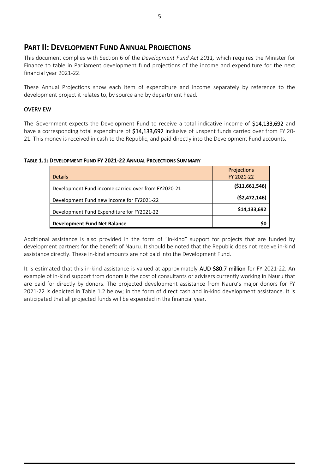## <span id="page-4-0"></span>**PART II: DEVELOPMENT FUND ANNUAL PROJECTIONS**

This document complies with Section 6 of the *Development Fund Act 2011,* which requires the Minister for Finance to table in Parliament development fund projections of the income and expenditure for the next financial year 2021-22.

These Annual Projections show each item of expenditure and income separately by reference to the development project it relates to, by source and by department head.

#### OVERVIEW

The Government expects the Development Fund to receive a total indicative income of \$14,133,692 and have a corresponding total expenditure of \$14,133,692 inclusive of unspent funds carried over from FY 20-21. This money is received in cash to the Republic, and paid directly into the Development Fund accounts.

#### <span id="page-4-1"></span>**TABLE 1.1: DEVELOPMENT FUND FY 2021-22 ANNUAL PROJECTIONS SUMMARY**

| <b>Details</b>                                      | <b>Projections</b><br>FY 2021-22 |
|-----------------------------------------------------|----------------------------------|
| Development Fund income carried over from FY2020-21 | ( \$11,661,546)                  |
| Development Fund new income for FY2021-22           | (\$2,472,146)                    |
| Development Fund Expenditure for FY2021-22          | \$14,133,692                     |
| <b>Development Fund Net Balance</b>                 | S0                               |

Additional assistance is also provided in the form of "in-kind" support for projects that are funded by development partners for the benefit of Nauru. It should be noted that the Republic does not receive in-kind assistance directly. These in-kind amounts are not paid into the Development Fund.

It is estimated that this in-kind assistance is valued at approximately AUD \$80.7 million for FY 2021-22. An example of in-kind support from donors is the cost of consultants or advisers currently working in Nauru that are paid for directly by donors. The projected development assistance from Nauru's major donors for FY 2021-22 is depicted in Table 1.2 below; in the form of direct cash and in-kind development assistance. It is anticipated that all projected funds will be expended in the financial year.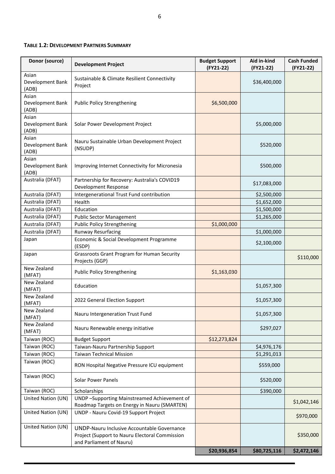#### <span id="page-5-0"></span>**TABLE 1.2: DEVELOPMENT PARTNERS SUMMARY**

| Donor (source)                     | <b>Development Project</b>                                                                                                | <b>Budget Support</b><br>(FY21-22) | Aid in-kind<br>(FY21-22) | <b>Cash Funded</b><br>(FY21-22) |
|------------------------------------|---------------------------------------------------------------------------------------------------------------------------|------------------------------------|--------------------------|---------------------------------|
| Asian<br>Development Bank<br>(ADB) | Sustainable & Climate Resilient Connectivity<br>Project                                                                   |                                    | \$36,400,000             |                                 |
| Asian<br>Development Bank<br>(ADB) | <b>Public Policy Strengthening</b>                                                                                        | \$6,500,000                        |                          |                                 |
| Asian<br>Development Bank<br>(ADB) | Solar Power Development Project                                                                                           |                                    | \$5,000,000              |                                 |
| Asian<br>Development Bank<br>(ADB) | Nauru Sustainable Urban Development Project<br>(NSUDP)                                                                    |                                    | \$520,000                |                                 |
| Asian<br>Development Bank<br>(ADB) | Improving Internet Connectivity for Micronesia                                                                            |                                    | \$500,000                |                                 |
| Australia (DFAT)                   | Partnership for Recovery: Australia's COVID19<br>Development Response                                                     |                                    | \$17,083,000             |                                 |
| Australia (DFAT)                   | Intergenerational Trust Fund contribution                                                                                 |                                    | \$2,500,000              |                                 |
| Australia (DFAT)                   | Health                                                                                                                    |                                    | \$1,652,000              |                                 |
| Australia (DFAT)                   | Education                                                                                                                 |                                    | \$1,500,000              |                                 |
| Australia (DFAT)                   | <b>Public Sector Management</b>                                                                                           |                                    | \$1,265,000              |                                 |
| Australia (DFAT)                   | <b>Public Policy Strengthening</b>                                                                                        | \$1,000,000                        |                          |                                 |
| Australia (DFAT)                   | <b>Runway Resurfacing</b>                                                                                                 |                                    | \$1,000,000              |                                 |
| Japan                              | Economic & Social Development Programme<br>(ESDP)                                                                         |                                    | \$2,100,000              |                                 |
| Japan                              | Grassroots Grant Program for Human Security<br>Projects (GGP)                                                             |                                    |                          | \$110,000                       |
| New Zealand<br>(MFAT)              | <b>Public Policy Strengthening</b>                                                                                        | \$1,163,030                        |                          |                                 |
| New Zealand<br>(MFAT)              | Education                                                                                                                 |                                    | \$1,057,300              |                                 |
| New Zealand<br>(MFAT)              | 2022 General Election Support                                                                                             |                                    | \$1,057,300              |                                 |
| New Zealand<br>(MFAT)              | Nauru Intergeneration Trust Fund                                                                                          |                                    | \$1,057,300              |                                 |
| New Zealand<br>(MFAT)              | Nauru Renewable energy initiative                                                                                         |                                    | \$297,027                |                                 |
| Taiwan (ROC)                       | <b>Budget Support</b>                                                                                                     | \$12,273,824                       |                          |                                 |
| Taiwan (ROC)                       | Taiwan-Nauru Partnership Support                                                                                          |                                    | \$4,976,176              |                                 |
| Taiwan (ROC)                       | <b>Taiwan Technical Mission</b>                                                                                           |                                    | \$1,291,013              |                                 |
| Taiwan (ROC)                       | RON Hospital Negative Pressure ICU equipment                                                                              |                                    | \$559,000                |                                 |
| Taiwan (ROC)                       | <b>Solar Power Panels</b>                                                                                                 |                                    | \$520,000                |                                 |
| Taiwan (ROC)                       | Scholarships                                                                                                              |                                    | \$390,000                |                                 |
| United Nation (UN)                 | UNDP-Supporting Mainstreamed Achievement of<br>Roadmap Targets on Energy in Nauru (SMARTEN)                               |                                    |                          | \$1,042,146                     |
| United Nation (UN)                 | UNDP - Nauru Covid-19 Support Project                                                                                     |                                    |                          | \$970,000                       |
| United Nation (UN)                 | UNDP-Nauru Inclusive Accountable Governance<br>Project (Support to Nauru Electoral Commission<br>and Parliament of Nauru) |                                    |                          | \$350,000                       |
|                                    |                                                                                                                           | \$20,936,854                       | \$80,725,116             | \$2,472,146                     |

 $\blacksquare$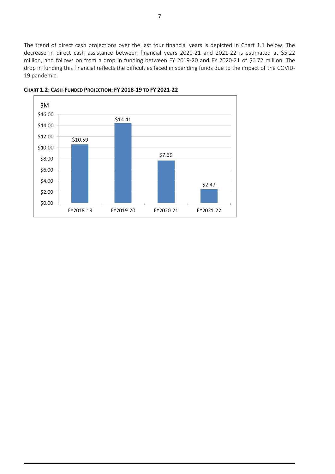The trend of direct cash projections over the last four financial years is depicted in Chart 1.1 below. The decrease in direct cash assistance between financial years 2020-21 and 2021-22 is estimated at \$5.22 million, and follows on from a drop in funding between FY 2019-20 and FY 2020-21 of \$6.72 million. The drop in funding this financial reflects the difficulties faced in spending funds due to the impact of the COVID-19 pandemic.



<span id="page-6-0"></span>**CHART 1.2: CASH-FUNDED PROJECTION: FY 2018-19 TO FY 2021-22**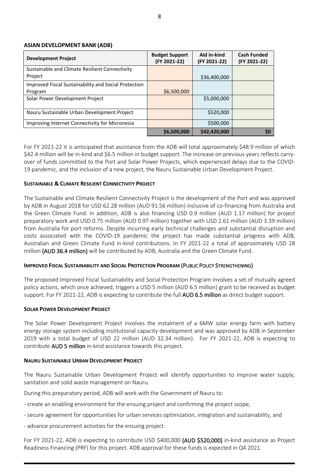#### <span id="page-7-0"></span>**ASIAN DEVELOPMENT BANK (ADB)**

| <b>Development Project</b>                           | <b>Budget Support</b><br>(FY 2021-22) | Aid in-kind<br>(FY 2021-22) | <b>Cash Funded</b><br>(FY 2021-22) |
|------------------------------------------------------|---------------------------------------|-----------------------------|------------------------------------|
| Sustainable and Climate Resilient Connectivity       |                                       |                             |                                    |
| Project                                              |                                       | \$36,400,000                |                                    |
| Improved Fiscal Sustainability and Social Protection |                                       |                             |                                    |
| Program                                              | \$6,500,000                           |                             |                                    |
| Solar Power Development Project                      |                                       | \$5,000,000                 |                                    |
| Nauru Sustainable Urban Development Project          |                                       | \$520,000                   |                                    |
| Improving Internet Connectivity for Micronesia       |                                       | \$500,000                   |                                    |
|                                                      | \$6,500,000                           | \$42,420,000                | \$0                                |

For FY 2021-22 it is anticipated that assistance from the ADB will total approximately \$48.9 million of which \$42.4 million will be in-kind and \$6.5 million in budget support. The increase on previous years reflects carryover of funds committed to the Port and Solar Power Projects, which experienced delays due to the COVID-19 pandemic, and the inclusion of a new project, the Nauru Sustainable Urban Development Project.

#### **SUSTAINABLE & CLIMATE RESILIENT CONNECTIVITY PROJECT**

The Sustainable and Climate Resilient Connectivity Project is the development of the Port and was approved by ADB in August 2018 for USD 62.28 million (AUD 91.56 million) inclusive of co-financing from Australia and the Green Climate Fund. In addition, ADB is also financing USD 0.9 million (AUD 1.17 million) for project preparatory work and USD 0.75 million (AUD 0.97 million) together with USD 2.61 million (AUD 3.39 million) from Australia for port reforms. Despite incurring early technical challenges and substantial disruption and costs associated with the COVID-19 pandemic the project has made substantial progress with ADB, Australian and Green Climate Fund in-kind contributions. In FY 2021-22 a total of approximately USD 28 million (AUD 36.4 million) will be contributed by ADB, Australia and the Green Climate Fund.

#### **IMPROVED FISCAL SUSTAINABILITY AND SOCIAL PROTECTION PROGRAM** (PUBLIC POLICY STRENGTHENING)

The proposed Improved Fiscal Sustainability and Social Protection Program involves a set of mutually agreed policy actions, which once achieved, triggers a USD 5 million (AUD 6.5 million) grant to be received as budget support. For FY 2021-22, ADB is expecting to contribute the full AUD 6.5 million as direct budget support.

#### **SOLAR POWER DEVELOPMENT PROJECT**

The Solar Power Development Project involves the instalment of a 6MW solar energy farm with battery energy storage system including institutional capacity development and was approved by ADB in September 2019 with a total budget of USD 22 million (AUD 32.34 million). For FY 2021-22, ADB is expecting to contribute AUD 5 million in-kind assistance towards this project.

#### **NAURU SUSTAINABLE URBAN DEVELOPMENT PROJECT**

The Nauru Sustainable Urban Development Project will identify opportunities to improve water supply, sanitation and solid waste management on Nauru.

During this preparatory period, ADB will work with the Government of Nauru to:

- create an enabling environment for the ensuing project and confirming the project scope,
- secure agreement for opportunities for urban services optimization, integration and sustainability, and
- advance procurement activities for the ensuing project.

For FY 2021-22, ADB is expecting to contribute USD \$400,000 (AUD \$520,000) in-kind assistance as Project Readiness Financing (PRF) for this project. ADB approval for these funds is expected in Q4 2021.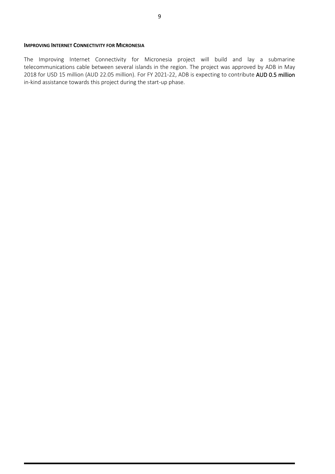#### **IMPROVING INTERNET CONNECTIVITY FOR MICRONESIA**

The Improving Internet Connectivity for Micronesia project will build and lay a submarine telecommunications cable between several islands in the region. The project was approved by ADB in May 2018 for USD 15 million (AUD 22.05 million). For FY 2021-22, ADB is expecting to contribute AUD 0.5 million in-kind assistance towards this project during the start-up phase.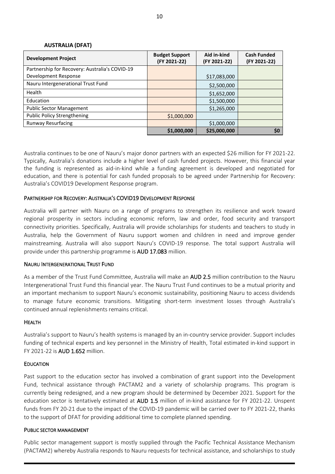#### **AUSTRALIA (DFAT)**

<span id="page-9-0"></span>

| <b>Development Project</b>                     | <b>Budget Support</b><br>(FY 2021-22) | Aid in-kind<br>(FY 2021-22) | <b>Cash Funded</b><br>(FY 2021-22) |
|------------------------------------------------|---------------------------------------|-----------------------------|------------------------------------|
| Partnership for Recovery: Australia's COVID-19 |                                       |                             |                                    |
| Development Response                           |                                       | \$17,083,000                |                                    |
| Nauru Intergenerational Trust Fund             |                                       | \$2,500,000                 |                                    |
| Health                                         |                                       | \$1,652,000                 |                                    |
| Education                                      |                                       | \$1,500,000                 |                                    |
| <b>Public Sector Management</b>                |                                       | \$1,265,000                 |                                    |
| <b>Public Policy Strengthening</b>             | \$1,000,000                           |                             |                                    |
| <b>Runway Resurfacing</b>                      |                                       | \$1,000,000                 |                                    |
|                                                | \$1,000,000                           | \$25,000,000                | \$0                                |

Australia continues to be one of Nauru's major donor partners with an expected \$26 million for FY 2021-22. Typically, Australia's donations include a higher level of cash funded projects. However, this financial year the funding is represented as aid-in-kind while a funding agreement is developed and negotiated for education, and there is potential for cash funded proposals to be agreed under Partnership for Recovery: Australia's COVID19 Development Response program.

#### PARTNERSHIP FOR RECOVERY: AUSTRALIA'S COVID19 DEVELOPMENT RESPONSE

Australia will partner with Nauru on a range of programs to strengthen its resilience and work toward regional prosperity in sectors including economic reform, law and order, food security and transport connectivity priorities. Specifically, Australia will provide scholarships for students and teachers to study in Australia, help the Government of Nauru support women and children in need and improve gender mainstreaming. Australia will also support Nauru's COVID-19 response. The total support Australia will provide under this partnership programme is AUD 17.083 million.

#### NAURU INTERGENERATIONAL TRUST FUND

As a member of the Trust Fund Committee, Australia will make an AUD 2.5 million contribution to the Nauru Intergenerational Trust Fund this financial year. The Nauru Trust Fund continues to be a mutual priority and an important mechanism to support Nauru's economic sustainability, positioning Nauru to access dividends to manage future economic transitions. Mitigating short-term investment losses through Australia's continued annual replenishments remains critical.

#### HEALTH

Australia's support to Nauru's health systems is managed by an in-country service provider. Support includes funding of technical experts and key personnel in the Ministry of Health, Total estimated in-kind support in FY 2021-22 is AUD 1.652 million.

#### **EDUCATION**

Past support to the education sector has involved a combination of grant support into the Development Fund, technical assistance through PACTAM2 and a variety of scholarship programs. This program is currently being redesigned, and a new program should be determined by December 2021. Support for the education sector is tentatively estimated at AUD 1.5 million of in-kind assistance for FY 2021-22. Unspent funds from FY 20-21 due to the impact of the COVID-19 pandemic will be carried over to FY 2021-22, thanks to the support of DFAT for providing additional time to complete planned spending.

#### PUBLIC SECTOR MANAGEMENT

Public sector management support is mostly supplied through the Pacific Technical Assistance Mechanism (PACTAM2) whereby Australia responds to Nauru requests for technical assistance, and scholarships to study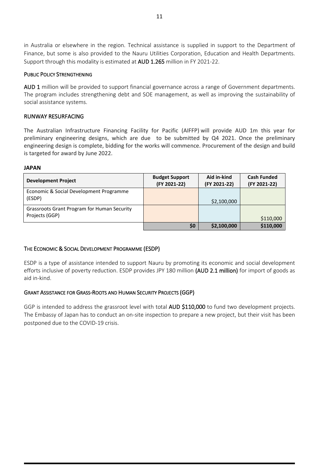in Australia or elsewhere in the region. Technical assistance is supplied in support to the Department of Finance, but some is also provided to the Nauru Utilities Corporation, Education and Health Departments. Support through this modality is estimated at AUD 1.265 million in FY 2021-22.

#### PUBLIC POLICY STRENGTHENING

AUD 1 million will be provided to support financial governance across a range of Government departments. The program includes strengthening debt and SOE management, as well as improving the sustainability of social assistance systems.

#### RUNWAY RESURFACING

The Australian Infrastructure Financing Facility for Pacific (AIFFP) will provide AUD 1m this year for preliminary engineering designs, which are due to be submitted by Q4 2021. Once the preliminary engineering design is complete, bidding for the works will commence. Procurement of the design and build is targeted for award by June 2022.

#### <span id="page-10-0"></span>**JAPAN**

| <b>Development Project</b>                                    | <b>Budget Support</b><br>(FY 2021-22) | Aid in-kind<br>(FY 2021-22) | <b>Cash Funded</b><br>(FY 2021-22) |
|---------------------------------------------------------------|---------------------------------------|-----------------------------|------------------------------------|
| Economic & Social Development Programme<br>(ESDP)             |                                       | \$2,100,000                 |                                    |
| Grassroots Grant Program for Human Security<br>Projects (GGP) |                                       |                             | \$110,000                          |
|                                                               | \$0                                   | \$2,100,000                 | \$110,000                          |

#### THE ECONOMIC & SOCIAL DEVELOPMENT PROGRAMME (ESDP)

ESDP is a type of assistance intended to support Nauru by promoting its economic and social development efforts inclusive of poverty reduction. ESDP provides JPY 180 million (AUD 2.1 million) for import of goods as aid in-kind.

#### GRANT ASSISTANCE FOR GRASS-ROOTS AND HUMAN SECURITY PROJECTS (GGP)

GGP is intended to address the grassroot level with total AUD \$110,000 to fund two development projects. The Embassy of Japan has to conduct an on-site inspection to prepare a new project, but their visit has been postponed due to the COVID-19 crisis.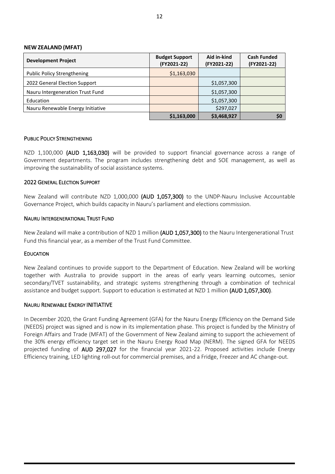#### <span id="page-11-0"></span>**NEW ZEALAND (MFAT)**

| <b>Development Project</b>         | <b>Budget Support</b><br>(FY2021-22) | Aid in-kind<br>(FY2021-22) | <b>Cash Funded</b><br>(FY2021-22) |
|------------------------------------|--------------------------------------|----------------------------|-----------------------------------|
| <b>Public Policy Strengthening</b> | \$1,163,030                          |                            |                                   |
| 2022 General Election Support      |                                      | \$1,057,300                |                                   |
| Nauru Intergeneration Trust Fund   |                                      | \$1,057,300                |                                   |
| Education                          |                                      | \$1,057,300                |                                   |
| Nauru Renewable Energy Initiative  |                                      | \$297,027                  |                                   |
|                                    | \$1,163,000                          | \$3,468,927                | <b>SO</b>                         |

#### PUBLIC POLICY STRENGTHENING

NZD 1,100,000 (AUD 1,163,030) will be provided to support financial governance across a range of Government departments. The program includes strengthening debt and SOE management, as well as improving the sustainability of social assistance systems.

#### 2022 GENERAL ELECTION SUPPORT

New Zealand will contribute NZD 1,000,000 (AUD 1,057,300) to the UNDP-Nauru Inclusive Accountable Governance Project, which builds capacity in Nauru's parliament and elections commission.

#### NAURU INTERGENERATIONAL TRUST FUND

New Zealand will make a contribution of NZD 1 million (AUD 1,057,300) to the Nauru Intergenerational Trust Fund this financial year, as a member of the Trust Fund Committee.

#### **EDUCATION**

New Zealand continues to provide support to the Department of Education. New Zealand will be working together with Australia to provide support in the areas of early years learning outcomes, senior secondary/TVET sustainability, and strategic systems strengthening through a combination of technical assistance and budget support. Support to education is estimated at NZD 1 million (AUD 1,057,300).

#### NAURU RENEWABLE ENERGY INITIATIVE

In December 2020, the Grant Funding Agreement (GFA) for the Nauru Energy Efficiency on the Demand Side (NEEDS) project was signed and is now in its implementation phase. This project is funded by the Ministry of Foreign Affairs and Trade (MFAT) of the Government of New Zealand aiming to support the achievement of the 30% energy efficiency target set in the Nauru Energy Road Map (NERM). The signed GFA for NEEDS projected funding of AUD 297,027 for the financial year 2021-22. Proposed activities include Energy Efficiency training, LED lighting roll-out for commercial premises, and a Fridge, Freezer and AC change-out.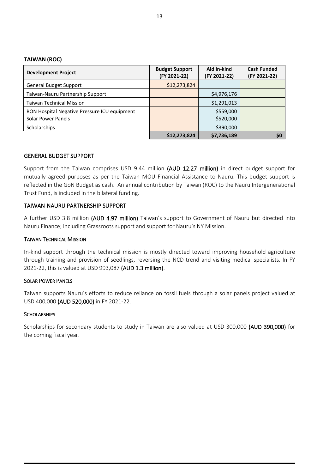#### <span id="page-12-0"></span>**TAIWAN (ROC)**

| <b>Development Project</b>                   | <b>Budget Support</b><br>(FY 2021-22) | Aid in-kind<br>(FY 2021-22) | <b>Cash Funded</b><br>(FY 2021-22) |
|----------------------------------------------|---------------------------------------|-----------------------------|------------------------------------|
| <b>General Budget Support</b>                | \$12,273,824                          |                             |                                    |
| Taiwan-Nauru Partnership Support             |                                       | \$4,976,176                 |                                    |
| <b>Taiwan Technical Mission</b>              |                                       | \$1,291,013                 |                                    |
| RON Hospital Negative Pressure ICU equipment |                                       | \$559,000                   |                                    |
| Solar Power Panels                           |                                       | \$520,000                   |                                    |
| <b>Scholarships</b>                          |                                       | \$390,000                   |                                    |
|                                              | \$12,273,824                          | \$7,736,189                 | S0                                 |

#### GENERAL BUDGET SUPPORT

Support from the Taiwan comprises USD 9.44 million (AUD 12.27 million) in direct budget support for mutually agreed purposes as per the Taiwan MOU Financial Assistance to Nauru. This budget support is reflected in the GoN Budget as cash. An annual contribution by Taiwan (ROC) to the Nauru Intergenerational Trust Fund, is included in the bilateral funding.

#### TAIWAN-NAURU PARTNERSHIP SUPPORT

A further USD 3.8 million (AUD 4.97 million) Taiwan's support to Government of Nauru but directed into Nauru Finance; including Grassroots support and support for Nauru's NY Mission.

#### TAIWAN TECHNICAL MISSION

In-kind support through the technical mission is mostly directed toward improving household agriculture through training and provision of seedlings, reversing the NCD trend and visiting medical specialists. In FY 2021-22, this is valued at USD 993,087 (AUD 1.3 million).

#### SOLAR POWER PANELS

Taiwan supports Nauru's efforts to reduce reliance on fossil fuels through a solar panels project valued at USD 400,000 (AUD 520,000) in FY 2021-22.

#### **SCHOLARSHIPS**

Scholarships for secondary students to study in Taiwan are also valued at USD 300,000 (AUD 390,000) for the coming fiscal year.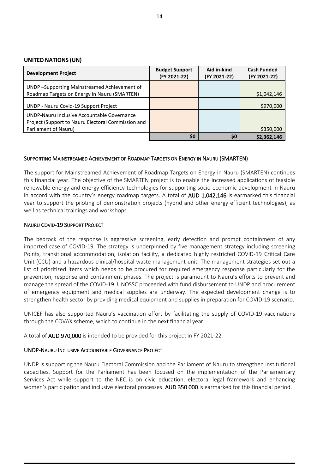#### <span id="page-13-0"></span>**UNITED NATIONS (UN)**

| <b>Development Project</b>                                                                                                | <b>Budget Support</b><br>(FY 2021-22) | Aid in-kind<br>(FY 2021-22) | <b>Cash Funded</b><br>(FY 2021-22) |
|---------------------------------------------------------------------------------------------------------------------------|---------------------------------------|-----------------------------|------------------------------------|
| UNDP-Supporting Mainstreamed Achievement of<br>Roadmap Targets on Energy in Nauru (SMARTEN)                               |                                       |                             | \$1,042,146                        |
| UNDP - Nauru Covid-19 Support Project                                                                                     |                                       |                             | \$970,000                          |
| UNDP-Nauru Inclusive Accountable Governance<br>Project (Support to Nauru Electoral Commission and<br>Parliament of Nauru) |                                       |                             | \$350,000                          |
|                                                                                                                           | \$0                                   | \$0                         | \$2,362,146                        |

#### SUPPORTING MAINSTREAMED ACHIEVEMENT OF ROADMAP TARGETS ON ENERGY IN NAURU (SMARTEN)

The support for Mainstreamed Achievement of Roadmap Targets on Energy in Nauru (SMARTEN) continues this financial year. The objective of the SMARTEN project is to enable the increased applications of feasible renewable energy and energy efficiency technologies for supporting socio-economic development in Nauru in accord with the country's energy roadmap targets. A total of AUD 1,042,146 is earmarked this financial year to support the piloting of demonstration projects (hybrid and other energy efficient technologies), as well as technical trainings and workshops.

#### NAURU COVID-19 SUPPORT PROJECT

The bedrock of the response is aggressive screening, early detection and prompt containment of any imported case of COVID-19. The strategy is underpinned by five management strategy including screening Points, transitional accommodation, isolation facility, a dedicated highly restricted COVID-19 Critical Care Unit (CCU) and a hazardous clinical/hospital waste management unit. The management strategies set out a list of prioritized items which needs to be procured for required emergency response particularly for the prevention, response and containment phases. The project is paramount to Nauru's efforts to prevent and manage the spread of the COVID-19. UNOSSC proceeded with fund disbursement to UNDP and procurement of emergency equipment and medical supplies are underway. The expected development change is to strengthen health sector by providing medical equipment and supplies in preparation for COVID-19 scenario.

UNICEF has also supported Nauru's vaccination effort by facilitating the supply of COVID-19 vaccinations through the COVAX scheme, which to continue in the next financial year.

A total of AUD 970,000 is intended to be provided for this project in FY 2021-22.

#### UNDP-NAURU INCLUSIVE ACCOUNTABLE GOVERNANCE PROJECT

UNDP is supporting the Nauru Electoral Commission and the Parliament of Nauru to strengthen institutional capacities. Support for the Parliament has been focused on the implementation of the Parliamentary Services Act while support to the NEC is on civic education, electoral legal framework and enhancing women's participation and inclusive electoral processes. AUD 350 000 is earmarked for this financial period.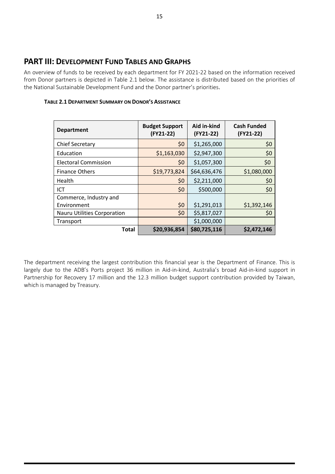# <span id="page-14-0"></span>**PART III: DEVELOPMENT FUND TABLES AND GRAPHS**

An overview of funds to be received by each department for FY 2021-22 based on the information received from Donor partners is depicted in Table 2.1 below. The assistance is distributed based on the priorities of the National Sustainable Development Fund and the Donor partner's priorities.

| <b>Department</b>           | <b>Budget Support</b><br>$(FY21-22)$ | Aid in-kind<br>(FY21-22) | <b>Cash Funded</b><br>(FY21-22) |
|-----------------------------|--------------------------------------|--------------------------|---------------------------------|
| Chief Secretary             | \$0                                  | \$1,265,000              | \$0                             |
| Education                   | \$1,163,030                          | \$2,947,300              | \$0                             |
| <b>Electoral Commission</b> | \$0                                  | \$1,057,300              | \$0                             |
| <b>Finance Others</b>       | \$19,773,824                         | \$64,636,476             | \$1,080,000                     |
| Health                      | \$0                                  | \$2,211,000              | \$0                             |
| ICT                         | \$0                                  | \$500,000                | \$0                             |
| Commerce, Industry and      |                                      |                          |                                 |
| Environment                 | \$0                                  | \$1,291,013              | \$1,392,146                     |
| Nauru Utilities Corporation | \$0                                  | \$5,817,027              | Ş0                              |
| Transport                   |                                      | \$1,000,000              |                                 |
| <b>Total</b>                | \$20,936,854                         | \$80,725,116             | \$2,472,146                     |

#### <span id="page-14-1"></span>**TABLE 2.1 DEPARTMENT SUMMARY ON DONOR'S ASSISTANCE**

The department receiving the largest contribution this financial year is the Department of Finance. This is largely due to the ADB's Ports project 36 million in Aid-in-kind, Australia's broad Aid-in-kind support in Partnership for Recovery 17 million and the 12.3 million budget support contribution provided by Taiwan, which is managed by Treasury.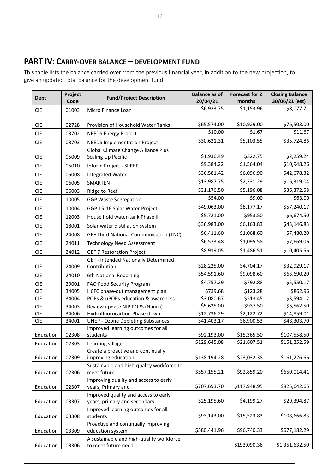# <span id="page-15-0"></span>**PART IV: CARRY-OVER BALANCE – DEVELOPMENT FUND**

This table lists the balance carried over from the previous financial year, in addition to the new projection, to give an updated total balance for the development fund.

| <b>Dept</b> | Project<br>Code | <b>Fund/Project Description</b>                                  | <b>Balance as of</b><br>20/04/21 | <b>Forecast for 2</b><br>months | <b>Closing Balance</b><br>30/06/21 (est) |
|-------------|-----------------|------------------------------------------------------------------|----------------------------------|---------------------------------|------------------------------------------|
| <b>CIE</b>  | 01003           | Micro Finance Loan                                               | \$6,923.75                       | \$1,153.96                      | \$8,077.71                               |
|             |                 |                                                                  | \$65,574.00                      | \$10,929.00                     | \$76,503.00                              |
| <b>CIE</b>  | 02728           | Provision of Household Water Tanks                               | \$10.00                          | \$1.67                          | \$11.67                                  |
| <b>CIE</b>  | 03702           | <b>NEEDS Energy Project</b>                                      | \$30,621.31                      | \$5,103.55                      | \$35,724.86                              |
| <b>CIE</b>  | 03703           | <b>NEEDS Implementation Project</b>                              |                                  |                                 |                                          |
| <b>CIE</b>  | 05009           | Global Climate Change Alliance Plus<br><b>Scaling Up Pacific</b> | \$1,936.49                       | \$322.75                        | \$2,259.24                               |
| <b>CIE</b>  | 05010           | Inform Project - SPREP                                           | \$9,384.22                       | \$1,564.04                      | \$10,948.26                              |
| <b>CIE</b>  | 05008           | <b>Integrated Water</b>                                          | \$36,581.42                      | \$6,096.90                      | \$42,678.32                              |
| <b>CIE</b>  | 06005           | SMARTEN                                                          | \$13,987.75                      | \$2,331.29                      | \$16,319.04                              |
| <b>CIE</b>  | 06003           | Ridge to Reef                                                    | \$31,176.50                      | \$5,196.08                      | \$36,372.58                              |
| <b>CIE</b>  | 10005           | <b>GGP Waste Segregation</b>                                     | \$54.00                          | \$9.00                          | \$63.00                                  |
| <b>CIE</b>  | 10004           | GGP 15-16 Solar Water Project                                    | \$49,063.00                      | \$8,177.17                      | \$57,240.17                              |
| <b>CIE</b>  | 12003           | House hold water-tank Phase II                                   | \$5,721.00                       | \$953.50                        | \$6,674.50                               |
| <b>CIE</b>  | 18001           | Solar water distillation system                                  | \$36,983.00                      | \$6,163.83                      | \$43,146.83                              |
| <b>CIE</b>  | 24008           | <b>GEF Third National Communication (TNC)</b>                    | \$6,411.60                       | \$1,068.60                      | \$7,480.20                               |
| <b>CIE</b>  | 24011           | <b>Technology Need Assessment</b>                                | \$6,573.48                       | \$1,095.58                      | \$7,669.06                               |
| <b>CIE</b>  | 24012           | <b>GEF 7 Restoration Project</b>                                 | \$8,919.05                       | \$1,486.51                      | \$10,405.56                              |
|             |                 | GEF - Intended Nationally Determined                             |                                  |                                 |                                          |
| <b>CIE</b>  | 24009           | Contribution                                                     | \$28,225.00                      | \$4,704.17                      | \$32,929.17                              |
| <b>CIE</b>  | 24010           | 6th National Reporting                                           | \$54,591.60                      | \$9,098.60                      | \$63,690.20                              |
| <b>CIE</b>  | 29001           | FAO Food Security Program                                        | \$4,757.29                       | \$792.88                        | \$5,550.17                               |
| <b>CIE</b>  | 34005           | HCFC phase-out management plan                                   | \$739.68                         | \$123.28                        | \$862.96                                 |
| <b>CIE</b>  | 34004           | POPs & uPOPs education & awareness                               | \$3,080.67                       | \$513.45                        | \$3,594.12                               |
| <b>CIE</b>  | 34003           | Review update NIP POPS (Nauru)                                   | \$5,625.00                       | \$937.50                        | \$6,562.50                               |
| <b>CIE</b>  | 34006           | Hydrofluorocarbon Phase-down                                     | \$12,736.29                      | \$2,122.72                      | \$14,859.01                              |
| <b>CIE</b>  | 34001           | <b>UNEP - Ozone Depleting Substances</b>                         | \$41,403.17                      | \$6,900.53                      | \$48,303.70                              |
| Education   | 02308           | Improved learning outcomes for all<br>students                   | \$92,193.00                      | \$15,365.50                     | \$107,558.50                             |
| Education   | 02303           | Learning village                                                 | \$129,645.08                     | \$21,607.51                     | \$151,252.59                             |
|             |                 | Create a proactive and continually                               |                                  |                                 |                                          |
| Education   | 02309           | improving education                                              | \$138,194.28                     | \$23,032.38                     | \$161,226.66                             |
| Education   | 02306           | Sustainable and high-quality workforce to<br>meet future         | \$557,155.21                     | \$92,859.20                     | \$650,014.41                             |
|             |                 | Improving quality and access to early                            | \$707,693.70                     | \$117,948.95                    | \$825,642.65                             |
| Education   | 02307           | years, Primary and<br>Improved quality and access to early       |                                  |                                 |                                          |
| Education   | 03307           | years, primary and secondary                                     | \$25,195.60                      | \$4,199.27                      | \$29,394.87                              |
| Education   | 03308           | Improved learning outcomes for all<br>students                   | \$93,143.00                      | \$15,523.83                     | \$108,666.83                             |
|             |                 | Proactive and continually improving                              |                                  |                                 |                                          |
| Education   | 03309           | education system                                                 | \$580,441.96                     | \$96,740.33                     | \$677,182.29                             |
|             |                 | A sustainable and high-quality workforce                         |                                  |                                 |                                          |
| Education   | 03306           | to meet future need                                              |                                  | \$193,090.36                    | \$1,351,632.50                           |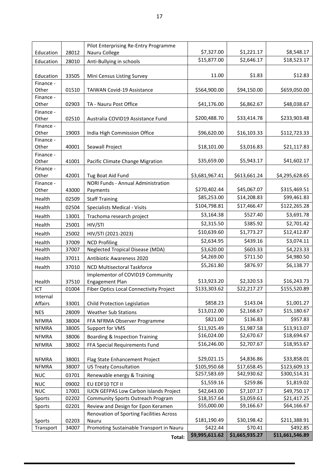|                    |                | Pilot Enterprising Re-Entry Programme                           |                            |                           |                             |
|--------------------|----------------|-----------------------------------------------------------------|----------------------------|---------------------------|-----------------------------|
| Education          | 28012          | Nauru College                                                   | \$7,327.00                 | \$1,221.17                | \$8,548.17                  |
| Education          | 28010          | Anti-Bullying in schools                                        | \$15,877.00                | \$2,646.17                | \$18,523.17                 |
|                    |                |                                                                 |                            |                           |                             |
| Education          | 33505          | Mini Census Listing Survey                                      | 11.00                      | \$1.83                    | \$12.83                     |
| Finance -<br>Other | 01510          | TAIWAN Covid-19 Assistance                                      | \$564,900.00               | \$94,150.00               |                             |
| Finance -          |                |                                                                 |                            |                           | \$659,050.00                |
| Other              | 02903          | TA - Nauru Post Office                                          | \$41,176.00                | \$6,862.67                | \$48,038.67                 |
| Finance -          |                |                                                                 |                            |                           |                             |
| Other              | 02510          | Australia COVID19 Assistance Fund                               | \$200,488.70               | \$33,414.78               | \$233,903.48                |
| Finance -          |                |                                                                 |                            |                           |                             |
| Other<br>Finance - | 19003          | India High Commission Office                                    | \$96,620.00                | \$16,103.33               | \$112,723.33                |
| Other              | 40001          | Seawall Project                                                 | \$18,101.00                | \$3,016.83                | \$21,117.83                 |
| Finance -          |                |                                                                 |                            |                           |                             |
| Other              | 41001          | Pacific Climate Change Migration                                | \$35,659.00                | \$5,943.17                | \$41,602.17                 |
| Finance -          |                |                                                                 |                            |                           |                             |
| Other<br>Finance - | 42001          | Tug Boat Aid Fund<br>NORI Funds - Annual Administration         | \$3,681,967.41             | \$613,661.24              | \$4,295,628.65              |
| Other              | 43000          | Payments                                                        | \$270,402.44               | \$45,067.07               | \$315,469.51                |
| Health             | 02509          | <b>Staff Training</b>                                           | \$85,253.00                | \$14,208.83               | \$99,461.83                 |
| Health             | 02504          | Specialists Medical - Visits                                    | \$104,798.81               | \$17,466.47               | \$122,265.28                |
| Health             | 13001          | Trachoma research project                                       | \$3,164.38                 | \$527.40                  | \$3,691.78                  |
| Health             | 25001          | HIV/STI                                                         | \$2,315.50                 | \$385.92                  | \$2,701.42                  |
|                    | 25002          |                                                                 | \$10,639.60                | \$1,773.27                | \$12,412.87                 |
| Health             |                | HIV/STI (2021-2023)                                             | \$2,634.95                 | \$439.16                  | $\overline{$}3,074.11$      |
| Health<br>Health   | 37009<br>37007 | <b>NCD Profiling</b><br><b>Neglected Tropical Disease (MDA)</b> | \$3,620.00                 | \$603.33                  | \$4,223.33                  |
| Health             | 37011          | Antibiotic Awareness 2020                                       | \$4,269.00                 | \$711.50                  | \$4,980.50                  |
| Health             | 37010          | <b>NCD Multisectoral Taskforce</b>                              | \$5,261.80                 | \$876.97                  | \$6,138.77                  |
|                    |                | Implementor of COVID19 Community                                |                            |                           |                             |
| Health             | 37510          | <b>Engagement Plan</b>                                          | \$13,923.20                | \$2,320.53                | \$16,243.73                 |
| ICT                | 01004          | Fiber Optics Local Connectivity Project                         | \$133,303.62               | \$22,217.27               | \$155,520.89                |
| Internal           |                |                                                                 |                            |                           |                             |
| Affairs            | 33001          | Child Protection Legislation                                    | \$858.23                   | \$143.04                  | \$1,001.27                  |
| <b>NES</b>         | 28009          | <b>Weather Sub Stations</b>                                     | \$13,012.00                | \$2,168.67                | \$15,180.67                 |
| <b>NFMRA</b>       | 38004          | FFA NFRMA Observer Programme                                    | \$821.00                   | \$136.83                  | \$957.83                    |
| <b>NFMRA</b>       | 38005          | Support for VMS                                                 | \$11,925.49                | \$1,987.58                | \$13,913.07                 |
| <b>NFMRA</b>       | 38006          | Boarding & Inspection Training                                  | \$16,024.00                | \$2,670.67                | \$18,694.67                 |
| <b>NFMRA</b>       | 38002          | FFA Special Requirements Fund                                   | \$16,246.00                | \$2,707.67                | \$18,953.67                 |
| <b>NFMRA</b>       | 38001          | Flag State Enhancement Project                                  | \$29,021.15                | \$4,836.86                | \$33,858.01                 |
| <b>NFMRA</b>       | 38007          | <b>US Treaty Consultation</b>                                   | \$105,950.68               | \$17,658.45               | \$123,609.13                |
| <b>NUC</b>         | 03701          | Renewable energy & Training                                     | \$257,583.69               | \$42,930.62               | \$300,514.31                |
| <b>NUC</b>         | 09002          | EU EDF10 TCF II                                                 | \$1,559.16                 | \$259.86                  | \$1,819.02                  |
| <b>NUC</b>         | 17001          | <b>IUCN GEFPAS Low Carbon Islands Project</b>                   | \$42,643.00                | \$7,107.17                | \$49,750.17                 |
| Sports             | 02202          | Community Sports Outreach Program                               | \$18,357.64                | \$3,059.61                | \$21,417.25                 |
| Sports             | 02201          | Review and Design for Epon Keramen                              | \$55,000.00                | \$9,166.67                | \$64,166.67                 |
|                    |                | Renovation of Sporting Facilities Across                        |                            |                           |                             |
| Sports             | 02203          | Nauru                                                           | \$181,190.49               | \$30,198.42               | \$211,388.91                |
| Transport          | 34007          | Promoting Sustainable Transport in Nauru                        | \$422.44<br>\$9,995,611.62 | \$70.41<br>\$1,665,935.27 | \$492.85<br>\$11,661,546.89 |
|                    |                | Total:                                                          |                            |                           |                             |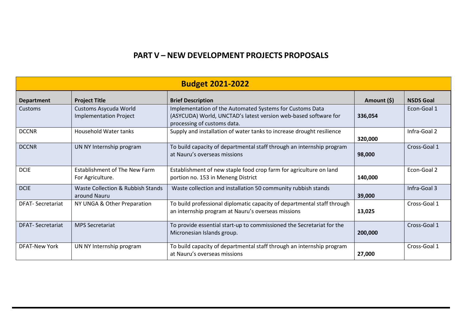# **PART V – NEW DEVELOPMENT PROJECTS PROPOSALS**

<span id="page-17-0"></span>

| <b>Budget 2021-2022</b> |                                                        |                                                                                                                                                            |             |                  |  |
|-------------------------|--------------------------------------------------------|------------------------------------------------------------------------------------------------------------------------------------------------------------|-------------|------------------|--|
| Department              | <b>Project Title</b>                                   | <b>Brief Description</b>                                                                                                                                   | Amount (\$) | <b>NSDS Goal</b> |  |
| Customs                 | Customs Asycuda World<br><b>Implementation Project</b> | Implementation of the Automated Systems for Customs Data<br>(ASYCUDA) World, UNCTAD's latest version web-based software for<br>processing of customs data. | 336,054     | Econ-Goal 1      |  |
| <b>DCCNR</b>            | <b>Household Water tanks</b>                           | Supply and installation of water tanks to increase drought resilience                                                                                      | 320,000     | Infra-Goal 2     |  |
| <b>DCCNR</b>            | UN NY Internship program                               | To build capacity of departmental staff through an internship program<br>at Nauru's overseas missions                                                      | 98,000      | Cross-Goal 1     |  |
| <b>DCIE</b>             | Establishment of The New Farm<br>For Agriculture.      | Establishment of new staple food crop farm for agriculture on land<br>portion no. 153 in Meneng District                                                   | 140,000     | Econ-Goal 2      |  |
| <b>DCIE</b>             | Waste Collection & Rubbish Stands<br>around Nauru      | Waste collection and installation 50 community rubbish stands                                                                                              | 39,000      | Infra-Goal 3     |  |
| <b>DFAT-Secretariat</b> | NY UNGA & Other Preparation                            | To build professional diplomatic capacity of departmental staff through<br>an internship program at Nauru's overseas missions                              | 13,025      | Cross-Goal 1     |  |
| <b>DFAT-Secretariat</b> | <b>MPS Secretariat</b>                                 | To provide essential start-up to commissioned the Secretariat for the<br>Micronesian Islands group.                                                        | 200,000     | Cross-Goal 1     |  |
| <b>DFAT-New York</b>    | UN NY Internship program                               | To build capacity of departmental staff through an internship program<br>at Nauru's overseas missions                                                      | 27,000      | Cross-Goal 1     |  |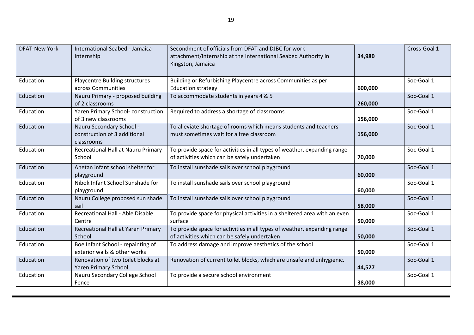| <b>DFAT-New York</b> | International Seabed - Jamaica<br>Internship                           | Secondment of officials from DFAT and DJBC for work<br>attachment/internship at the International Seabed Authority in<br>Kingston, Jamaica | 34,980  | Cross-Goal 1 |
|----------------------|------------------------------------------------------------------------|--------------------------------------------------------------------------------------------------------------------------------------------|---------|--------------|
| Education            | <b>Playcentre Building structures</b><br>across Communities            | Building or Refurbishing Playcentre across Communities as per<br><b>Education strategy</b>                                                 | 600,000 | Soc-Goal 1   |
| Education            | Nauru Primary - proposed building<br>of 2 classrooms                   | To accommodate students in years 4 & 5                                                                                                     | 260,000 | Soc-Goal 1   |
| Education            | Yaren Primary School-construction<br>of 3 new classrooms               | Required to address a shortage of classrooms                                                                                               | 156,000 | Soc-Goal 1   |
| Education            | Nauru Secondary School -<br>construction of 3 additional<br>classrooms | To alleviate shortage of rooms which means students and teachers<br>must sometimes wait for a free classroom                               | 156,000 | Soc-Goal 1   |
| Education            | Recreational Hall at Nauru Primary<br>School                           | To provide space for activities in all types of weather, expanding range<br>of activities which can be safely undertaken                   | 70,000  | Soc-Goal 1   |
| Education            | Anetan infant school shelter for<br>playground                         | To install sunshade sails over school playground                                                                                           | 60,000  | Soc-Goal 1   |
| Education            | Nibok Infant School Sunshade for<br>playground                         | To install sunshade sails over school playground                                                                                           | 60,000  | Soc-Goal 1   |
| Education            | Nauru College proposed sun shade<br>sail                               | To install sunshade sails over school playground                                                                                           | 58,000  | Soc-Goal 1   |
| Education            | Recreational Hall - Able Disable<br>Centre                             | To provide space for physical activities in a sheltered area with an even<br>surface                                                       | 50,000  | Soc-Goal 1   |
| Education            | Recreational Hall at Yaren Primary<br>School                           | To provide space for activities in all types of weather, expanding range<br>of activities which can be safely undertaken                   | 50,000  | Soc-Goal 1   |
| Education            | Boe Infant School - repainting of<br>exterior walls & other works      | To address damage and improve aesthetics of the school                                                                                     | 50,000  | Soc-Goal 1   |
| Education            | Renovation of two toilet blocks at<br><b>Yaren Primary School</b>      | Renovation of current toilet blocks, which are unsafe and unhygienic.                                                                      | 44,527  | Soc-Goal 1   |
| Education            | Nauru Secondary College School<br>Fence                                | To provide a secure school environment                                                                                                     | 38,000  | Soc-Goal 1   |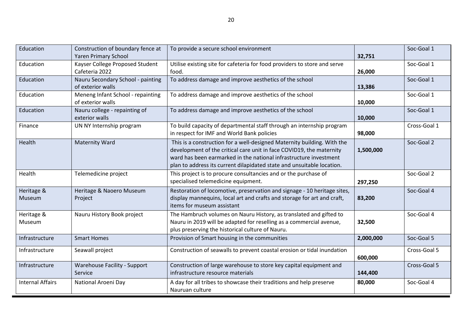| Education               | Construction of boundary fence at<br><b>Yaren Primary School</b> | To provide a secure school environment                                                                                                                                                                                                                                                         | 32,751    | Soc-Goal 1   |
|-------------------------|------------------------------------------------------------------|------------------------------------------------------------------------------------------------------------------------------------------------------------------------------------------------------------------------------------------------------------------------------------------------|-----------|--------------|
| Education               | Kayser College Proposed Student<br>Cafeteria 2022                | Utilise existing site for cafeteria for food providers to store and serve<br>food.                                                                                                                                                                                                             | 26,000    | Soc-Goal 1   |
| Education               | Nauru Secondary School - painting<br>of exterior walls           | To address damage and improve aesthetics of the school                                                                                                                                                                                                                                         | 13,386    | Soc-Goal 1   |
| Education               | Meneng Infant School - repainting<br>of exterior walls           | To address damage and improve aesthetics of the school                                                                                                                                                                                                                                         | 10,000    | Soc-Goal 1   |
| Education               | Nauru college - repainting of<br>exterior walls                  | To address damage and improve aesthetics of the school                                                                                                                                                                                                                                         | 10,000    | Soc-Goal 1   |
| Finance                 | UN NY Internship program                                         | To build capacity of departmental staff through an internship program<br>in respect for IMF and World Bank policies                                                                                                                                                                            | 98,000    | Cross-Goal 1 |
| Health                  | <b>Maternity Ward</b>                                            | This is a construction for a well-designed Maternity building. With the<br>development of the critical care unit in face COVID19, the maternity<br>ward has been earmarked in the national infrastructure investment<br>plan to address its current dilapidated state and unsuitable location. | 1,500,000 | Soc-Goal 2   |
| Health                  | Telemedicine project                                             | This project is to procure consultancies and or the purchase of<br>specialised telemedicine equipment.                                                                                                                                                                                         | 297,250   | Soc-Goal 2   |
| Heritage &<br>Museum    | Heritage & Naoero Museum<br>Project                              | Restoration of locomotive, preservation and signage - 10 heritage sites,<br>display mannequins, local art and crafts and storage for art and craft,<br>items for museum assistant                                                                                                              | 83,200    | Soc-Goal 4   |
| Heritage &<br>Museum    | Nauru History Book project                                       | The Hambruch volumes on Nauru History, as translated and gifted to<br>Nauru in 2019 will be adapted for reselling as a commercial avenue,<br>plus preserving the historical culture of Nauru.                                                                                                  | 32,500    | Soc-Goal 4   |
| Infrastructure          | <b>Smart Homes</b>                                               | Provision of Smart housing in the communities                                                                                                                                                                                                                                                  | 2,000,000 | Soc-Goal 5   |
| Infrastructure          | Seawall project                                                  | Construction of seawalls to prevent coastal erosion or tidal inundation                                                                                                                                                                                                                        | 600,000   | Cross-Goal 5 |
| Infrastructure          | Warehouse Facility - Support<br>Service                          | Construction of large warehouse to store key capital equipment and<br>infrastructure resource materials                                                                                                                                                                                        | 144,400   | Cross-Goal 5 |
| <b>Internal Affairs</b> | National Aroeni Day                                              | A day for all tribes to showcase their traditions and help preserve<br>Nauruan culture                                                                                                                                                                                                         | 80,000    | Soc-Goal 4   |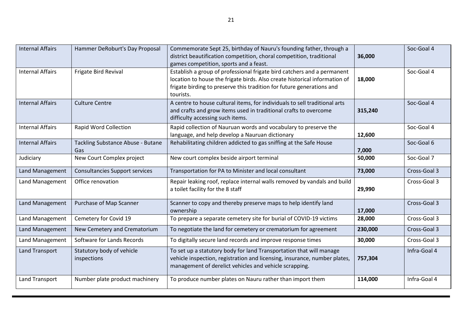| <b>Internal Affairs</b> | Hammer DeRoburt's Day Proposal           | Commemorate Sept 25, birthday of Nauru's founding father, through a<br>district beautification competition, choral competition, traditional<br>games competition, sports and a feast.                                                       | 36,000  | Soc-Goal 4   |
|-------------------------|------------------------------------------|---------------------------------------------------------------------------------------------------------------------------------------------------------------------------------------------------------------------------------------------|---------|--------------|
| <b>Internal Affairs</b> | Frigate Bird Revival                     | Establish a group of professional frigate bird catchers and a permanent<br>location to house the frigate birds. Also create historical information of<br>frigate birding to preserve this tradition for future generations and<br>tourists. | 18,000  | Soc-Goal 4   |
| <b>Internal Affairs</b> | <b>Culture Centre</b>                    | A centre to house cultural items, for individuals to sell traditional arts<br>and crafts and grow items used in traditional crafts to overcome<br>difficulty accessing such items.                                                          | 315,240 | Soc-Goal 4   |
| <b>Internal Affairs</b> | <b>Rapid Word Collection</b>             | Rapid collection of Nauruan words and vocabulary to preserve the<br>language, and help develop a Nauruan dictionary                                                                                                                         | 12,600  | Soc-Goal 4   |
| <b>Internal Affairs</b> | Tackling Substance Abuse - Butane<br>Gas | Rehabilitating children addicted to gas sniffing at the Safe House                                                                                                                                                                          | 7,000   | Soc-Goal 6   |
| Judiciary               | New Court Complex project                | New court complex beside airport terminal                                                                                                                                                                                                   | 50,000  | Soc-Goal 7   |
| Land Management         | <b>Consultancies Support services</b>    | Transportation for PA to Minister and local consultant                                                                                                                                                                                      | 73,000  | Cross-Goal 3 |
| Land Management         | Office renovation                        | Repair leaking roof, replace internal walls removed by vandals and build<br>a toilet facility for the 8 staff                                                                                                                               | 29,990  | Cross-Goal 3 |
| Land Management         | Purchase of Map Scanner                  | Scanner to copy and thereby preserve maps to help identify land<br>ownership                                                                                                                                                                | 17,000  | Cross-Goal 3 |
| Land Management         | Cemetery for Covid 19                    | To prepare a separate cemetery site for burial of COVID-19 victims                                                                                                                                                                          | 28,000  | Cross-Goal 3 |
| Land Management         | New Cemetery and Crematorium             | To negotiate the land for cemetery or crematorium for agreement                                                                                                                                                                             | 230,000 | Cross-Goal 3 |
| Land Management         | Software for Lands Records               | To digitally secure land records and improve response times                                                                                                                                                                                 | 30,000  | Cross-Goal 3 |
| <b>Land Transport</b>   | Statutory body of vehicle<br>inspections | To set up a statutory body for land Transportation that will manage<br>vehicle inspection, registration and licensing, insurance, number plates,<br>management of derelict vehicles and vehicle scrapping.                                  | 757,304 | Infra-Goal 4 |
| Land Transport          | Number plate product machinery           | To produce number plates on Nauru rather than import them                                                                                                                                                                                   | 114,000 | Infra-Goal 4 |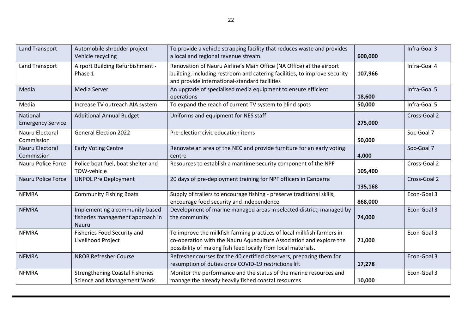| <b>Land Transport</b>                | Automobile shredder project-<br>Vehicle recycling                                  | To provide a vehicle scrapping facility that reduces waste and provides<br>a local and regional revenue stream.                                                                                                | 600,000 | Infra-Goal 3 |
|--------------------------------------|------------------------------------------------------------------------------------|----------------------------------------------------------------------------------------------------------------------------------------------------------------------------------------------------------------|---------|--------------|
| Land Transport                       | Airport Building Refurbishment -<br>Phase 1                                        | Renovation of Nauru Airline's Main Office (NA Office) at the airport<br>building, including restroom and catering facilities, to improve security<br>and provide international-standard facilities             | 107,966 | Infra-Goal 4 |
| Media                                | Media Server                                                                       | An upgrade of specialised media equipment to ensure efficient<br>operations                                                                                                                                    | 18,600  | Infra-Goal 5 |
| Media                                | Increase TV outreach AIA system                                                    | To expand the reach of current TV system to blind spots                                                                                                                                                        | 50,000  | Infra-Goal 5 |
| National<br><b>Emergency Service</b> | <b>Additional Annual Budget</b>                                                    | Uniforms and equipment for NES staff                                                                                                                                                                           | 275,000 | Cross-Goal 2 |
| Nauru Electoral<br>Commission        | <b>General Election 2022</b>                                                       | Pre-election civic education items                                                                                                                                                                             | 50,000  | Soc-Goal 7   |
| Nauru Electoral<br>Commission        | <b>Early Voting Centre</b>                                                         | Renovate an area of the NEC and provide furniture for an early voting<br>centre                                                                                                                                | 4,000   | Soc-Goal 7   |
| Nauru Police Force                   | Police boat fuel, boat shelter and<br>TOW-vehicle                                  | Resources to establish a maritime security component of the NPF                                                                                                                                                | 105,400 | Cross-Goal 2 |
| <b>Nauru Police Force</b>            | <b>UNPOL Pre Deployment</b>                                                        | 20 days of pre-deployment training for NPF officers in Canberra                                                                                                                                                | 135,168 | Cross-Goal 2 |
| <b>NFMRA</b>                         | <b>Community Fishing Boats</b>                                                     | Supply of trailers to encourage fishing - preserve traditional skills,<br>encourage food security and independence                                                                                             | 868,000 | Econ-Goal 3  |
| <b>NFMRA</b>                         | Implementing a community-based<br>fisheries management approach in<br><b>Nauru</b> | Development of marine managed areas in selected district, managed by<br>the community                                                                                                                          | 74,000  | Econ-Goal 3  |
| <b>NFMRA</b>                         | Fisheries Food Security and<br>Livelihood Project                                  | To improve the milkfish farming practices of local milkfish farmers in<br>co-operation with the Nauru Aquaculture Association and explore the<br>possibility of making fish feed locally from local materials. | 71,000  | Econ-Goal 3  |
| <b>NFMRA</b>                         | <b>NROB Refresher Course</b>                                                       | Refresher courses for the 40 certified observers, preparing them for<br>resumption of duties once COVID-19 restrictions lift                                                                                   | 17,278  | Econ-Goal 3  |
| <b>NFMRA</b>                         | <b>Strengthening Coastal Fisheries</b><br>Science and Management Work              | Monitor the performance and the status of the marine resources and<br>manage the already heavily fished coastal resources                                                                                      | 10,000  | Econ-Goal 3  |